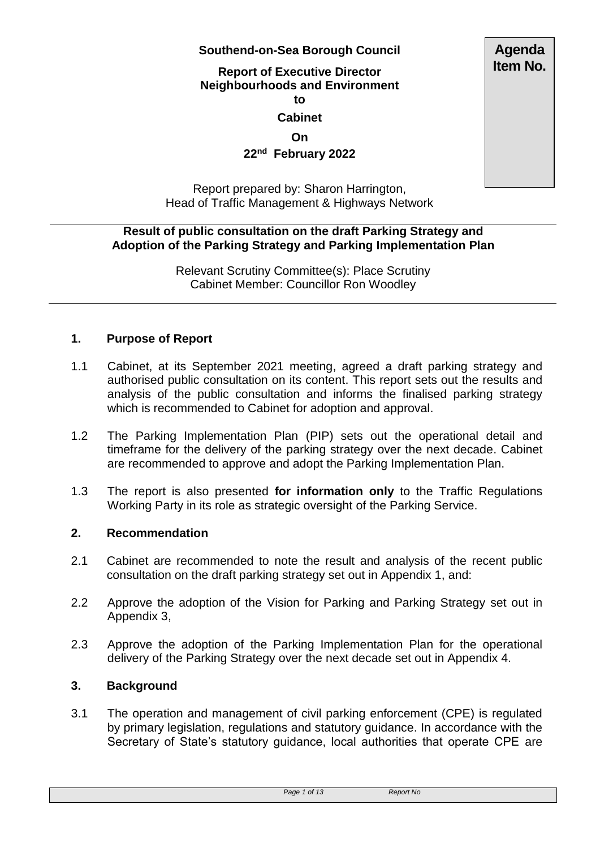#### **Southend-on-Sea Borough Council**

**Report of Executive Director Neighbourhoods and Environment to Cabinet**

#### **On**

#### **22nd February 2022**

Report prepared by: Sharon Harrington, Head of Traffic Management & Highways Network

#### **Result of public consultation on the draft Parking Strategy and Adoption of the Parking Strategy and Parking Implementation Plan**

Relevant Scrutiny Committee(s): Place Scrutiny Cabinet Member: Councillor Ron Woodley

#### **1. Purpose of Report**

- 1.1 Cabinet, at its September 2021 meeting, agreed a draft parking strategy and authorised public consultation on its content. This report sets out the results and analysis of the public consultation and informs the finalised parking strategy which is recommended to Cabinet for adoption and approval.
- 1.2 The Parking Implementation Plan (PIP) sets out the operational detail and timeframe for the delivery of the parking strategy over the next decade. Cabinet are recommended to approve and adopt the Parking Implementation Plan.
- 1.3 The report is also presented **for information only** to the Traffic Regulations Working Party in its role as strategic oversight of the Parking Service.

#### **2. Recommendation**

- 2.1 Cabinet are recommended to note the result and analysis of the recent public consultation on the draft parking strategy set out in Appendix 1, and:
- 2.2 Approve the adoption of the Vision for Parking and Parking Strategy set out in Appendix 3,
- 2.3 Approve the adoption of the Parking Implementation Plan for the operational delivery of the Parking Strategy over the next decade set out in Appendix 4.

#### **3. Background**

3.1 The operation and management of civil parking enforcement (CPE) is regulated by primary legislation, regulations and statutory guidance. In accordance with the Secretary of State's statutory guidance, local authorities that operate CPE are

**Agenda Item No.**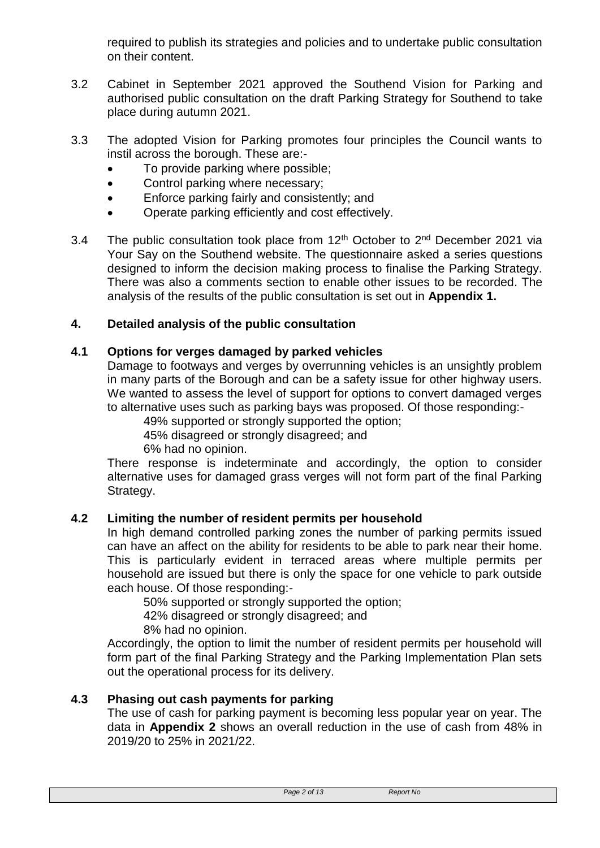required to publish its strategies and policies and to undertake public consultation on their content.

- 3.2 Cabinet in September 2021 approved the Southend Vision for Parking and authorised public consultation on the draft Parking Strategy for Southend to take place during autumn 2021.
- 3.3 The adopted Vision for Parking promotes four principles the Council wants to instil across the borough. These are:-
	- To provide parking where possible;
	- Control parking where necessary;
	- **Enforce parking fairly and consistently; and**
	- Operate parking efficiently and cost effectively.
- 3.4 The public consultation took place from  $12<sup>th</sup>$  October to  $2<sup>nd</sup>$  December 2021 via Your Say on the Southend website. The questionnaire asked a series questions designed to inform the decision making process to finalise the Parking Strategy. There was also a comments section to enable other issues to be recorded. The analysis of the results of the public consultation is set out in **Appendix 1.**

## **4. Detailed analysis of the public consultation**

## **4.1 Options for verges damaged by parked vehicles**

Damage to footways and verges by overrunning vehicles is an unsightly problem in many parts of the Borough and can be a safety issue for other highway users. We wanted to assess the level of support for options to convert damaged verges to alternative uses such as parking bays was proposed. Of those responding:-

49% supported or strongly supported the option;

45% disagreed or strongly disagreed; and

6% had no opinion.

There response is indeterminate and accordingly, the option to consider alternative uses for damaged grass verges will not form part of the final Parking Strategy.

## **4.2 Limiting the number of resident permits per household**

In high demand controlled parking zones the number of parking permits issued can have an affect on the ability for residents to be able to park near their home. This is particularly evident in terraced areas where multiple permits per household are issued but there is only the space for one vehicle to park outside each house. Of those responding:-

50% supported or strongly supported the option;

42% disagreed or strongly disagreed; and

8% had no opinion.

Accordingly, the option to limit the number of resident permits per household will form part of the final Parking Strategy and the Parking Implementation Plan sets out the operational process for its delivery.

# **4.3 Phasing out cash payments for parking**

The use of cash for parking payment is becoming less popular year on year. The data in **Appendix 2** shows an overall reduction in the use of cash from 48% in 2019/20 to 25% in 2021/22.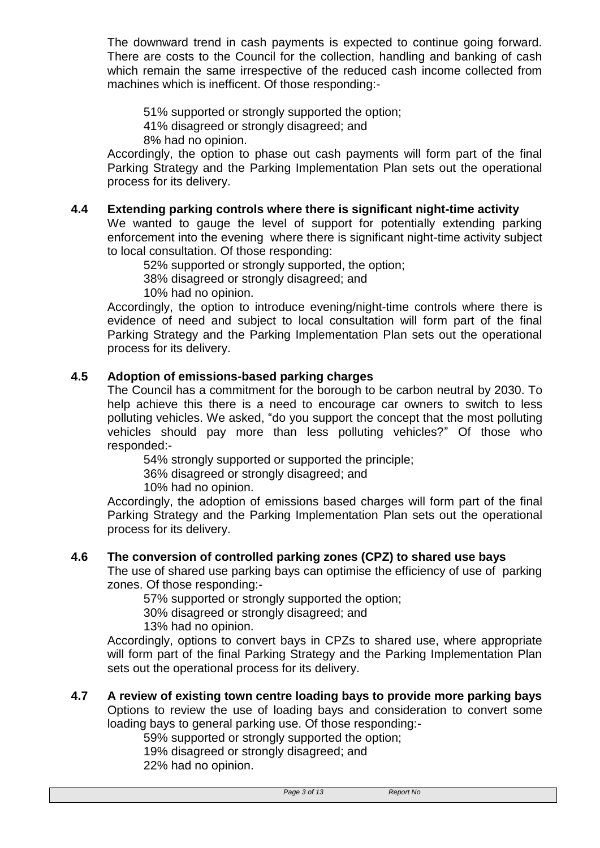The downward trend in cash payments is expected to continue going forward. There are costs to the Council for the collection, handling and banking of cash which remain the same irrespective of the reduced cash income collected from machines which is inefficent. Of those responding:-

51% supported or strongly supported the option;

41% disagreed or strongly disagreed; and

8% had no opinion.

Accordingly, the option to phase out cash payments will form part of the final Parking Strategy and the Parking Implementation Plan sets out the operational process for its delivery.

#### **4.4 Extending parking controls where there is significant night-time activity**

We wanted to gauge the level of support for potentially extending parking enforcement into the evening where there is significant night-time activity subject to local consultation. Of those responding:

52% supported or strongly supported, the option;

38% disagreed or strongly disagreed; and

10% had no opinion.

Accordingly, the option to introduce evening/night-time controls where there is evidence of need and subject to local consultation will form part of the final Parking Strategy and the Parking Implementation Plan sets out the operational process for its delivery.

#### **4.5 Adoption of emissions-based parking charges**

The Council has a commitment for the borough to be carbon neutral by 2030. To help achieve this there is a need to encourage car owners to switch to less polluting vehicles. We asked, "do you support the concept that the most polluting vehicles should pay more than less polluting vehicles?" Of those who responded:-

54% strongly supported or supported the principle;

36% disagreed or strongly disagreed; and

10% had no opinion.

Accordingly, the adoption of emissions based charges will form part of the final Parking Strategy and the Parking Implementation Plan sets out the operational process for its delivery.

#### **4.6 The conversion of controlled parking zones (CPZ) to shared use bays**

The use of shared use parking bays can optimise the efficiency of use of parking zones. Of those responding:-

57% supported or strongly supported the option;

30% disagreed or strongly disagreed; and

13% had no opinion.

Accordingly, options to convert bays in CPZs to shared use, where appropriate will form part of the final Parking Strategy and the Parking Implementation Plan sets out the operational process for its delivery.

# **4.7 A review of existing town centre loading bays to provide more parking bays**

Options to review the use of loading bays and consideration to convert some loading bays to general parking use. Of those responding:-

59% supported or strongly supported the option;

19% disagreed or strongly disagreed; and

22% had no opinion.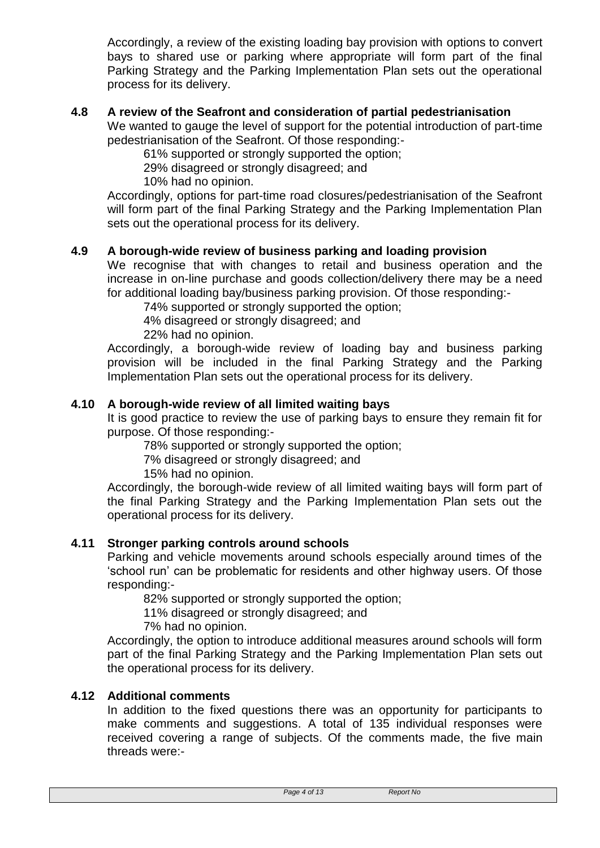Accordingly, a review of the existing loading bay provision with options to convert bays to shared use or parking where appropriate will form part of the final Parking Strategy and the Parking Implementation Plan sets out the operational process for its delivery.

## **4.8 A review of the Seafront and consideration of partial pedestrianisation**

We wanted to gauge the level of support for the potential introduction of part-time pedestrianisation of the Seafront. Of those responding:-

61% supported or strongly supported the option;

29% disagreed or strongly disagreed; and

10% had no opinion.

Accordingly, options for part-time road closures/pedestrianisation of the Seafront will form part of the final Parking Strategy and the Parking Implementation Plan sets out the operational process for its delivery.

#### **4.9 A borough-wide review of business parking and loading provision**

We recognise that with changes to retail and business operation and the increase in on-line purchase and goods collection/delivery there may be a need for additional loading bay/business parking provision. Of those responding:-

74% supported or strongly supported the option;

4% disagreed or strongly disagreed; and

22% had no opinion.

Accordingly, a borough-wide review of loading bay and business parking provision will be included in the final Parking Strategy and the Parking Implementation Plan sets out the operational process for its delivery.

#### **4.10 A borough-wide review of all limited waiting bays**

It is good practice to review the use of parking bays to ensure they remain fit for purpose. Of those responding:-

78% supported or strongly supported the option;

7% disagreed or strongly disagreed; and

15% had no opinion.

Accordingly, the borough-wide review of all limited waiting bays will form part of the final Parking Strategy and the Parking Implementation Plan sets out the operational process for its delivery.

#### **4.11 Stronger parking controls around schools**

Parking and vehicle movements around schools especially around times of the 'school run' can be problematic for residents and other highway users. Of those responding:-

82% supported or strongly supported the option;

11% disagreed or strongly disagreed; and

7% had no opinion.

Accordingly, the option to introduce additional measures around schools will form part of the final Parking Strategy and the Parking Implementation Plan sets out the operational process for its delivery.

## **4.12 Additional comments**

In addition to the fixed questions there was an opportunity for participants to make comments and suggestions. A total of 135 individual responses were received covering a range of subjects. Of the comments made, the five main threads were:-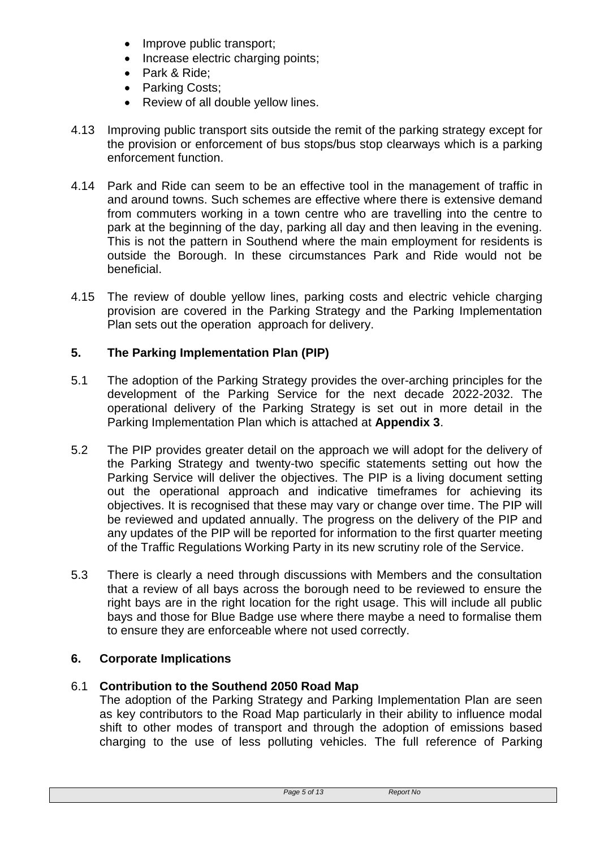- Improve public transport;
- Increase electric charging points;
- Park & Ride:
- Parking Costs;
- Review of all double yellow lines.
- 4.13 Improving public transport sits outside the remit of the parking strategy except for the provision or enforcement of bus stops/bus stop clearways which is a parking enforcement function.
- 4.14 Park and Ride can seem to be an effective tool in the management of traffic in and around towns. Such schemes are effective where there is extensive demand from commuters working in a town centre who are travelling into the centre to park at the beginning of the day, parking all day and then leaving in the evening. This is not the pattern in Southend where the main employment for residents is outside the Borough. In these circumstances Park and Ride would not be beneficial.
- 4.15 The review of double yellow lines, parking costs and electric vehicle charging provision are covered in the Parking Strategy and the Parking Implementation Plan sets out the operation approach for delivery.

#### **5. The Parking Implementation Plan (PIP)**

- 5.1 The adoption of the Parking Strategy provides the over-arching principles for the development of the Parking Service for the next decade 2022-2032. The operational delivery of the Parking Strategy is set out in more detail in the Parking Implementation Plan which is attached at **Appendix 3**.
- 5.2 The PIP provides greater detail on the approach we will adopt for the delivery of the Parking Strategy and twenty-two specific statements setting out how the Parking Service will deliver the objectives. The PIP is a living document setting out the operational approach and indicative timeframes for achieving its objectives. It is recognised that these may vary or change over time. The PIP will be reviewed and updated annually. The progress on the delivery of the PIP and any updates of the PIP will be reported for information to the first quarter meeting of the Traffic Regulations Working Party in its new scrutiny role of the Service.
- 5.3 There is clearly a need through discussions with Members and the consultation that a review of all bays across the borough need to be reviewed to ensure the right bays are in the right location for the right usage. This will include all public bays and those for Blue Badge use where there maybe a need to formalise them to ensure they are enforceable where not used correctly.

## **6. Corporate Implications**

#### 6.1 **Contribution to the Southend 2050 Road Map**

The adoption of the Parking Strategy and Parking Implementation Plan are seen as key contributors to the Road Map particularly in their ability to influence modal shift to other modes of transport and through the adoption of emissions based charging to the use of less polluting vehicles. The full reference of Parking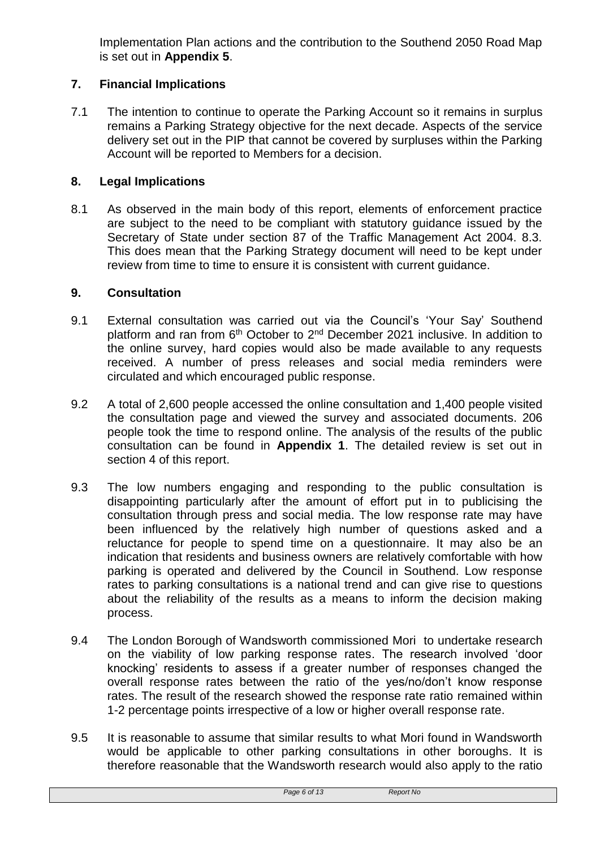Implementation Plan actions and the contribution to the Southend 2050 Road Map is set out in **Appendix 5**.

## **7. Financial Implications**

7.1 The intention to continue to operate the Parking Account so it remains in surplus remains a Parking Strategy objective for the next decade. Aspects of the service delivery set out in the PIP that cannot be covered by surpluses within the Parking Account will be reported to Members for a decision.

#### **8. Legal Implications**

8.1 As observed in the main body of this report, elements of enforcement practice are subject to the need to be compliant with statutory guidance issued by the Secretary of State under section 87 of the Traffic Management Act 2004. 8.3. This does mean that the Parking Strategy document will need to be kept under review from time to time to ensure it is consistent with current guidance.

## **9. Consultation**

- 9.1 External consultation was carried out via the Council's 'Your Say' Southend platform and ran from  $6<sup>th</sup>$  October to  $2<sup>nd</sup>$  December 2021 inclusive. In addition to the online survey, hard copies would also be made available to any requests received. A number of press releases and social media reminders were circulated and which encouraged public response.
- 9.2 A total of 2,600 people accessed the online consultation and 1,400 people visited the consultation page and viewed the survey and associated documents. 206 people took the time to respond online. The analysis of the results of the public consultation can be found in **Appendix 1**. The detailed review is set out in section 4 of this report.
- 9.3 The low numbers engaging and responding to the public consultation is disappointing particularly after the amount of effort put in to publicising the consultation through press and social media. The low response rate may have been influenced by the relatively high number of questions asked and a reluctance for people to spend time on a questionnaire. It may also be an indication that residents and business owners are relatively comfortable with how parking is operated and delivered by the Council in Southend. Low response rates to parking consultations is a national trend and can give rise to questions about the reliability of the results as a means to inform the decision making process.
- 9.4 The London Borough of Wandsworth commissioned Mori to undertake research on the viability of low parking response rates. The research involved 'door knocking' residents to assess if a greater number of responses changed the overall response rates between the ratio of the yes/no/don't know response rates. The result of the research showed the response rate ratio remained within 1-2 percentage points irrespective of a low or higher overall response rate.
- 9.5 It is reasonable to assume that similar results to what Mori found in Wandsworth would be applicable to other parking consultations in other boroughs. It is therefore reasonable that the Wandsworth research would also apply to the ratio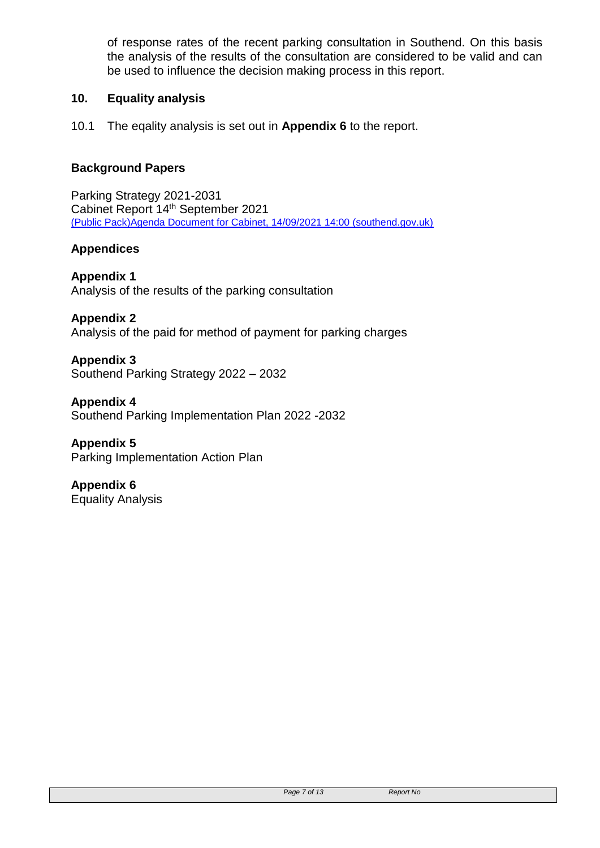of response rates of the recent parking consultation in Southend. On this basis the analysis of the results of the consultation are considered to be valid and can be used to influence the decision making process in this report.

## **10. Equality analysis**

10.1 The eqality analysis is set out in **Appendix 6** to the report.

# **Background Papers**

Parking Strategy 2021-2031 Cabinet Report 14th September 2021 [\(Public Pack\)Agenda Document for Cabinet, 14/09/2021 14:00 \(southend.gov.uk\)](https://democracy.southend.gov.uk/documents/g3912/Public%20reports%20pack%2014th-Sep-2021%2014.00%20Cabinet.pdf?T=10)

# **Appendices**

**Appendix 1** Analysis of the results of the parking consultation

## **Appendix 2**

Analysis of the paid for method of payment for parking charges

**Appendix 3** Southend Parking Strategy 2022 – 2032

**Appendix 4** Southend Parking Implementation Plan 2022 -2032

#### **Appendix 5** Parking Implementation Action Plan

**Appendix 6** Equality Analysis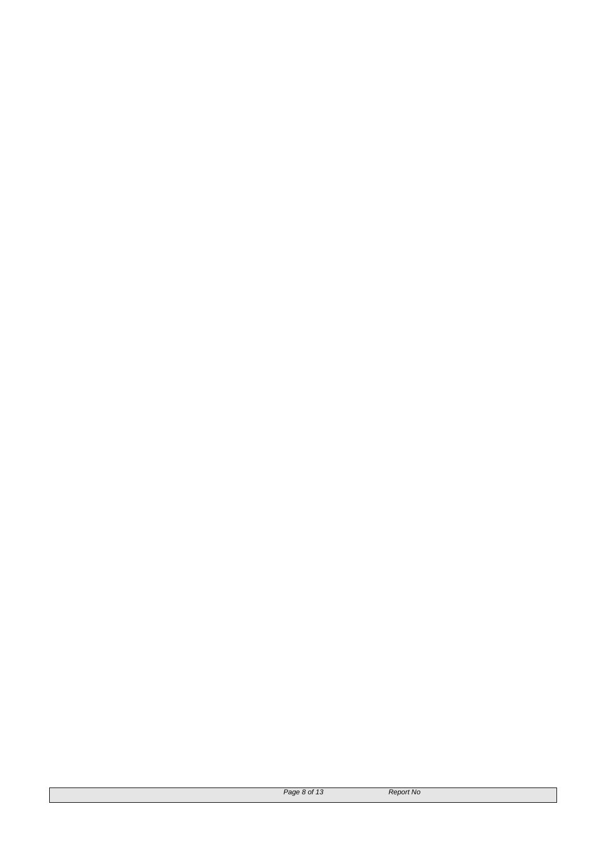*Page 8 of 13 Report No*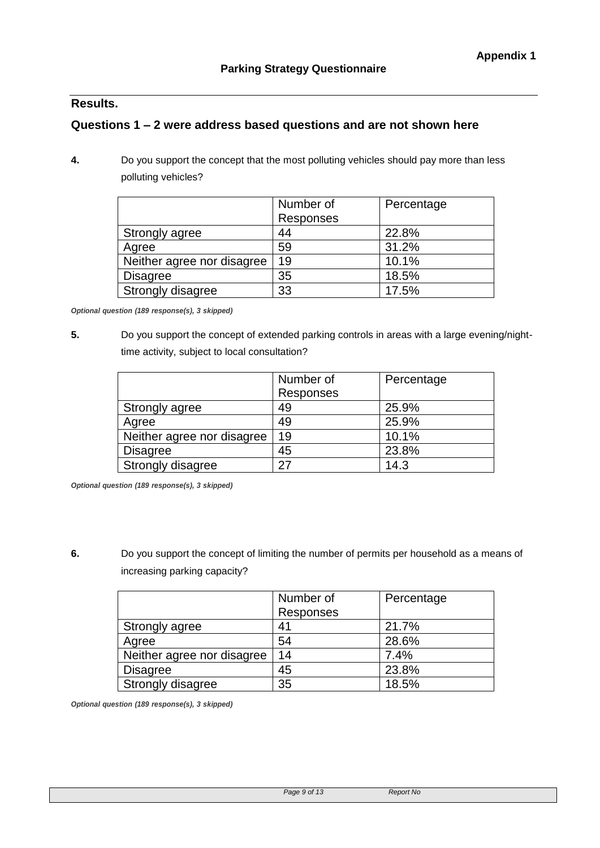#### **Results.**

#### **Questions 1 – 2 were address based questions and are not shown here**

**4.** Do you support the concept that the most polluting vehicles should pay more than less polluting vehicles?

|                            | Number of<br><b>Responses</b> | Percentage |
|----------------------------|-------------------------------|------------|
| Strongly agree             | 44                            | 22.8%      |
| Agree                      | 59                            | 31.2%      |
| Neither agree nor disagree | 19                            | 10.1%      |
| <b>Disagree</b>            | 35                            | 18.5%      |
| Strongly disagree          | 33                            | 17.5%      |

*Optional question (189 response(s), 3 skipped)*

**5.** Do you support the concept of extended parking controls in areas with a large evening/nighttime activity, subject to local consultation?

|                            | Number of<br>Responses | Percentage |
|----------------------------|------------------------|------------|
| Strongly agree             | 49                     | 25.9%      |
| Agree                      | 49                     | 25.9%      |
| Neither agree nor disagree | 19                     | 10.1%      |
| <b>Disagree</b>            | 45                     | 23.8%      |
| Strongly disagree          | 27                     | 14.3       |

*Optional question (189 response(s), 3 skipped)*

**6.** Do you support the concept of limiting the number of permits per household as a means of increasing parking capacity?

|                            | Number of<br><b>Responses</b> | Percentage |
|----------------------------|-------------------------------|------------|
| Strongly agree             | 41                            | 21.7%      |
| Agree                      | 54                            | 28.6%      |
| Neither agree nor disagree | 14                            | 7.4%       |
| <b>Disagree</b>            | 45                            | 23.8%      |
| Strongly disagree          | 35                            | 18.5%      |

*Optional question (189 response(s), 3 skipped)*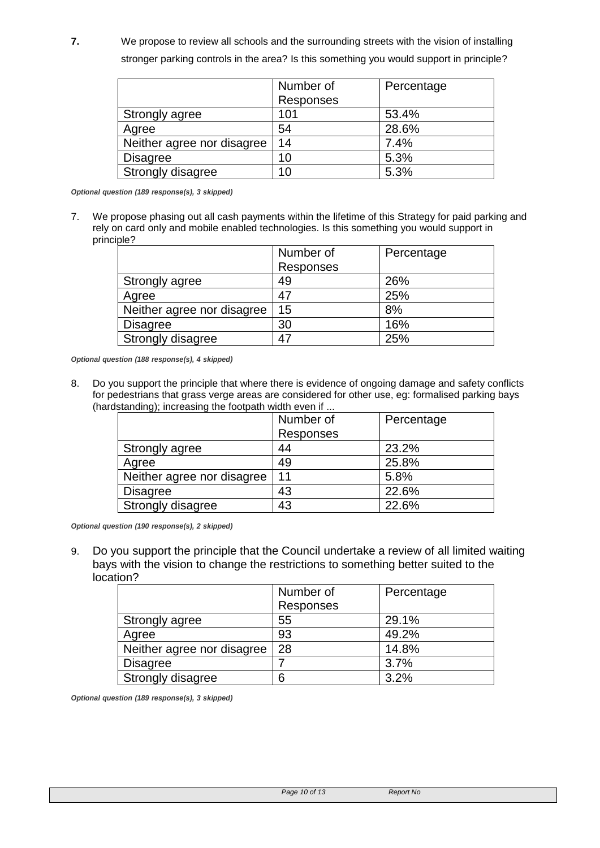**7.** We propose to review all schools and the surrounding streets with the vision of installing stronger parking controls in the area? Is this something you would support in principle?

|                            | Number of | Percentage |
|----------------------------|-----------|------------|
|                            | Responses |            |
| Strongly agree             | 101       | 53.4%      |
| Agree                      | 54        | 28.6%      |
| Neither agree nor disagree | 14        | 7.4%       |
| <b>Disagree</b>            | 10        | 5.3%       |
| <b>Strongly disagree</b>   | 10        | 5.3%       |

*Optional question (189 response(s), 3 skipped)*

7. We propose phasing out all cash payments within the lifetime of this Strategy for paid parking and rely on card only and mobile enabled technologies. Is this something you would support in principle?

|                            | Number of | Percentage |
|----------------------------|-----------|------------|
|                            | Responses |            |
| Strongly agree             | 49        | 26%        |
| Agree                      | 47        | 25%        |
| Neither agree nor disagree | 15        | 8%         |
| <b>Disagree</b>            | 30        | 16%        |
| Strongly disagree          | 47        | 25%        |

*Optional question (188 response(s), 4 skipped)*

8. Do you support the principle that where there is evidence of ongoing damage and safety conflicts for pedestrians that grass verge areas are considered for other use, eg: formalised parking bays (hardstanding); increasing the footpath width even if ...

|                            | Number of | Percentage |
|----------------------------|-----------|------------|
|                            | Responses |            |
| Strongly agree             | 44        | 23.2%      |
| Agree                      | 49        | 25.8%      |
| Neither agree nor disagree | 11        | 5.8%       |
| <b>Disagree</b>            | 43        | 22.6%      |
| Strongly disagree          | 43        | 22.6%      |

*Optional question (190 response(s), 2 skipped)*

9. Do you support the principle that the Council undertake a review of all limited waiting bays with the vision to change the restrictions to something better suited to the location?

|                            | Number of<br>Responses | Percentage |
|----------------------------|------------------------|------------|
| Strongly agree             | 55                     | 29.1%      |
| Agree                      | 93                     | 49.2%      |
| Neither agree nor disagree | 28                     | 14.8%      |
| <b>Disagree</b>            |                        | 3.7%       |
| Strongly disagree          | 6                      | 3.2%       |

*Optional question (189 response(s), 3 skipped)*

*Page 10 of 13 Report No*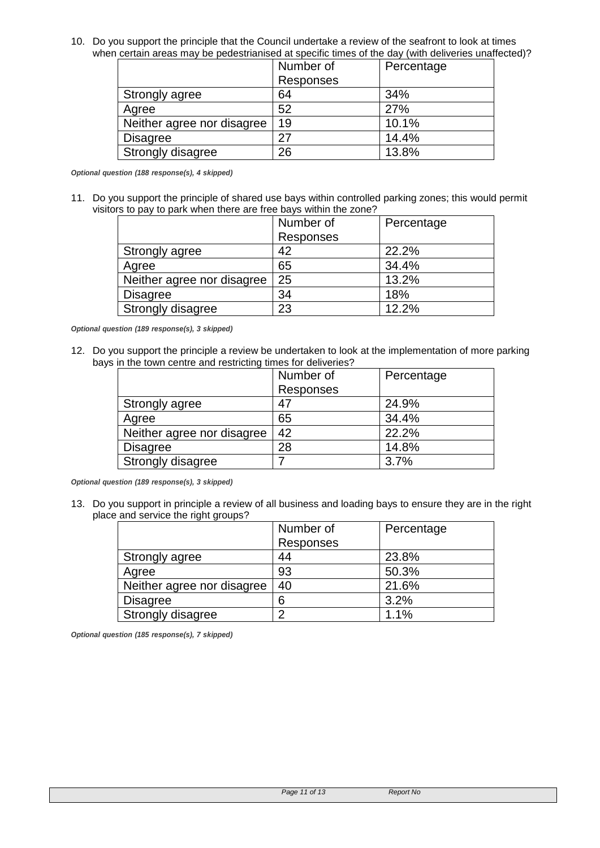10. Do you support the principle that the Council undertake a review of the seafront to look at times when certain areas may be pedestrianised at specific times of the day (with deliveries unaffected)?

|                            | Number of | Percentage |
|----------------------------|-----------|------------|
|                            | Responses |            |
| Strongly agree             | 64        | 34%        |
| Agree                      | 52        | 27%        |
| Neither agree nor disagree | 19        | 10.1%      |
| <b>Disagree</b>            | 27        | 14.4%      |
| Strongly disagree          | 26        | 13.8%      |

*Optional question (188 response(s), 4 skipped)*

11. Do you support the principle of shared use bays within controlled parking zones; this would permit visitors to pay to park when there are free bays within the zone?

|                            | Number of | Percentage |
|----------------------------|-----------|------------|
|                            | Responses |            |
| Strongly agree             | 42        | 22.2%      |
| Agree                      | 65        | 34.4%      |
| Neither agree nor disagree | 25        | 13.2%      |
| <b>Disagree</b>            | 34        | 18%        |
| Strongly disagree          | 23        | 12.2%      |

*Optional question (189 response(s), 3 skipped)*

12. Do you support the principle a review be undertaken to look at the implementation of more parking bays in the town centre and restricting times for deliveries?

|                            | Number of | Percentage |
|----------------------------|-----------|------------|
|                            | Responses |            |
| Strongly agree             | 47        | 24.9%      |
| Agree                      | 65        | 34.4%      |
| Neither agree nor disagree | 42        | 22.2%      |
| <b>Disagree</b>            | 28        | 14.8%      |
| Strongly disagree          |           | 3.7%       |

*Optional question (189 response(s), 3 skipped)*

13. Do you support in principle a review of all business and loading bays to ensure they are in the right place and service the right groups?

|                            | Number of | Percentage |
|----------------------------|-----------|------------|
|                            | Responses |            |
| Strongly agree             | 44        | 23.8%      |
| Agree                      | 93        | 50.3%      |
| Neither agree nor disagree | 40        | 21.6%      |
| <b>Disagree</b>            | 6         | 3.2%       |
| Strongly disagree          | ◠         | 1.1%       |

*Optional question (185 response(s), 7 skipped)*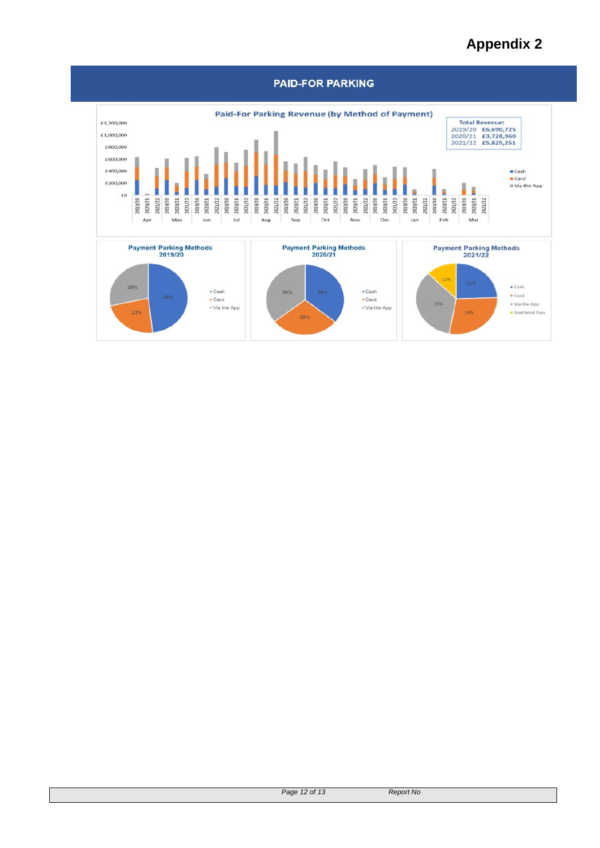# **Appendix 2**